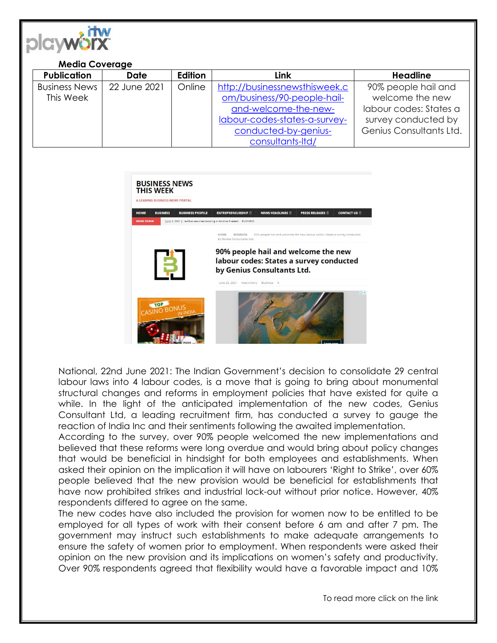

## **Media Coverage**

| <b>Publication</b>   | Date         | <b>Edition</b> | Link                          | <b>Headline</b>         |
|----------------------|--------------|----------------|-------------------------------|-------------------------|
| <b>Business News</b> | 22 June 2021 | Online         | http://businessnewsthisweek.c | 90% people hail and     |
| This Week            |              |                | om/business/90-people-hail-   | welcome the new         |
|                      |              |                | and-welcome-the-new-          | labour codes: States a  |
|                      |              |                | labour-codes-states-a-survey- | survey conducted by     |
|                      |              |                | conducted-by-genius-          | Genius Consultants Ltd. |
|                      |              |                | consultants-Itd/              |                         |



National, 22nd June 2021: The Indian Government's decision to consolidate 29 central labour laws into 4 labour codes, is a move that is going to bring about monumental structural changes and reforms in employment policies that have existed for quite a while. In the light of the anticipated implementation of the new codes, Genius Consultant Ltd, a leading recruitment firm, has conducted a survey to gauge the reaction of India Inc and their sentiments following the awaited implementation.

According to the survey, over 90% people welcomed the new implementations and believed that these reforms were long overdue and would bring about policy changes that would be beneficial in hindsight for both employees and establishments. When asked their opinion on the implication it will have on labourers 'Right to Strike', over 60% people believed that the new provision would be beneficial for establishments that have now prohibited strikes and industrial lock-out without prior notice. However, 40% respondents differed to agree on the same.

The new codes have also included the provision for women now to be entitled to be employed for all types of work with their consent before 6 am and after 7 pm. The government may instruct such establishments to make adequate arrangements to ensure the safety of women prior to employment. When respondents were asked their opinion on the new provision and its implications on women's safety and productivity. Over 90% respondents agreed that flexibility would have a favorable impact and 10%